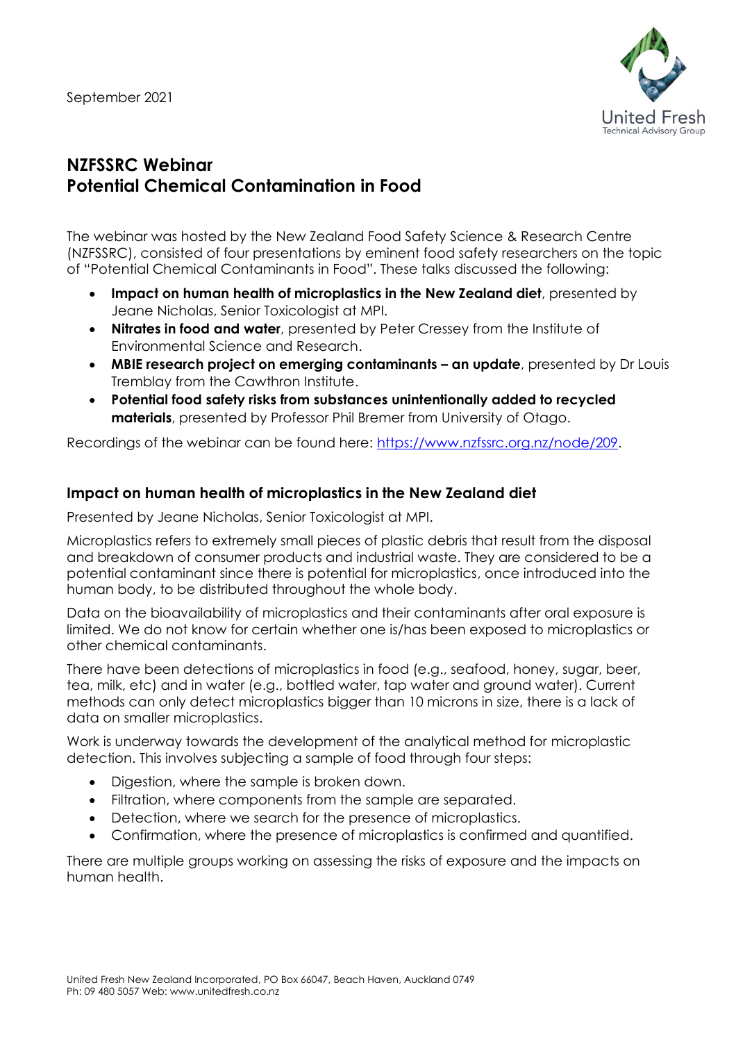

# **NZFSSRC Webinar Potential Chemical Contamination in Food**

The webinar was hosted by the New Zealand Food Safety Science & Research Centre (NZFSSRC), consisted of four presentations by eminent food safety researchers on the topic of "Potential Chemical Contaminants in Food". These talks discussed the following:

- **Impact on human health of microplastics in the New Zealand diet**, presented by Jeane Nicholas, Senior Toxicologist at MPI.
- **Nitrates in food and water**, presented by Peter Cressey from the Institute of Environmental Science and Research.
- **MBIE research project on emerging contaminants – an update**, presented by Dr Louis Tremblay from the Cawthron Institute.
- **Potential food safety risks from substances unintentionally added to recycled materials**, presented by Professor Phil Bremer from University of Otago.

Recordings of the webinar can be found here: [https://www.nzfssrc.org.nz/node/209.](https://www.nzfssrc.org.nz/node/209)

## **Impact on human health of microplastics in the New Zealand diet**

Presented by Jeane Nicholas, Senior Toxicologist at MPI.

Microplastics refers to extremely small pieces of plastic debris that result from the disposal and breakdown of consumer products and industrial waste. They are considered to be a potential contaminant since there is potential for microplastics, once introduced into the human body, to be distributed throughout the whole body.

Data on the bioavailability of microplastics and their contaminants after oral exposure is limited. We do not know for certain whether one is/has been exposed to microplastics or other chemical contaminants.

There have been detections of microplastics in food (e.g., seafood, honey, sugar, beer, tea, milk, etc) and in water (e.g., bottled water, tap water and ground water). Current methods can only detect microplastics bigger than 10 microns in size, there is a lack of data on smaller microplastics.

Work is underway towards the development of the analytical method for microplastic detection. This involves subjecting a sample of food through four steps:

- Digestion, where the sample is broken down.
- Filtration, where components from the sample are separated.
- Detection, where we search for the presence of microplastics.
- Confirmation, where the presence of microplastics is confirmed and quantified.

There are multiple groups working on assessing the risks of exposure and the impacts on human health.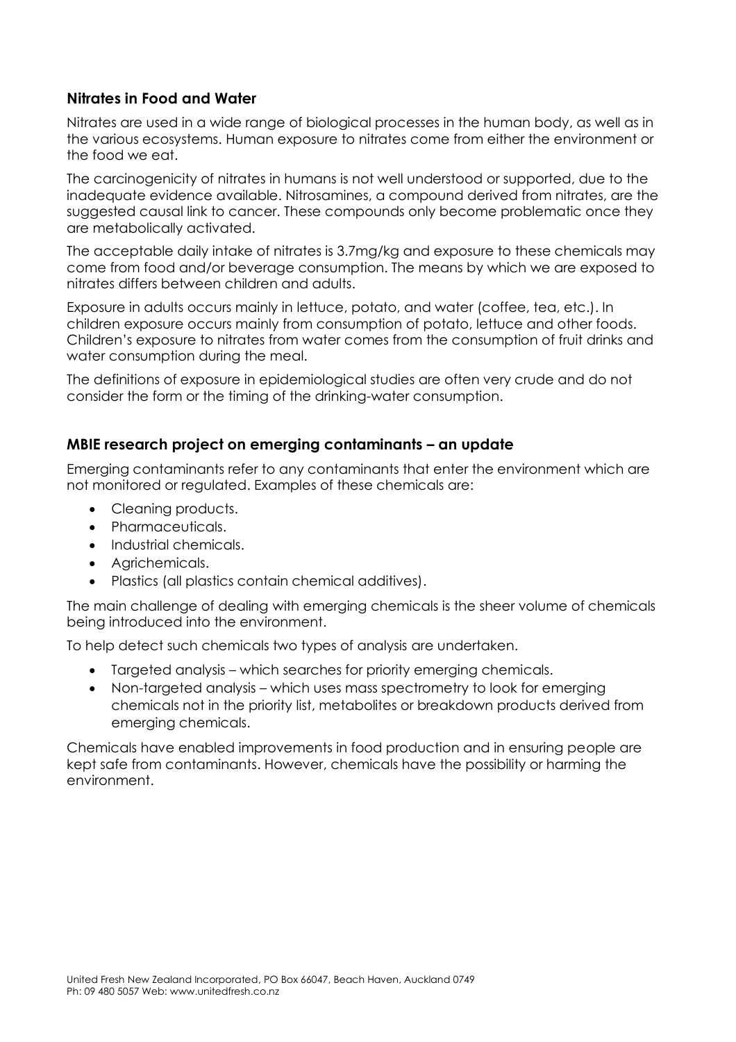## **Nitrates in Food and Water**

Nitrates are used in a wide range of biological processes in the human body, as well as in the various ecosystems. Human exposure to nitrates come from either the environment or the food we eat.

The carcinogenicity of nitrates in humans is not well understood or supported, due to the inadequate evidence available. Nitrosamines, a compound derived from nitrates, are the suggested causal link to cancer. These compounds only become problematic once they are metabolically activated.

The acceptable daily intake of nitrates is 3.7mg/kg and exposure to these chemicals may come from food and/or beverage consumption. The means by which we are exposed to nitrates differs between children and adults.

Exposure in adults occurs mainly in lettuce, potato, and water (coffee, tea, etc.). In children exposure occurs mainly from consumption of potato, lettuce and other foods. Children's exposure to nitrates from water comes from the consumption of fruit drinks and water consumption during the meal.

The definitions of exposure in epidemiological studies are often very crude and do not consider the form or the timing of the drinking-water consumption.

#### **MBIE research project on emerging contaminants – an update**

Emerging contaminants refer to any contaminants that enter the environment which are not monitored or regulated. Examples of these chemicals are:

- Cleaning products.
- Pharmaceuticals.
- Industrial chemicals.
- Agrichemicals.
- Plastics (all plastics contain chemical additives).

The main challenge of dealing with emerging chemicals is the sheer volume of chemicals being introduced into the environment.

To help detect such chemicals two types of analysis are undertaken.

- Targeted analysis which searches for priority emerging chemicals.
- Non-targeted analysis which uses mass spectrometry to look for emerging chemicals not in the priority list, metabolites or breakdown products derived from emerging chemicals.

Chemicals have enabled improvements in food production and in ensuring people are kept safe from contaminants. However, chemicals have the possibility or harming the environment.